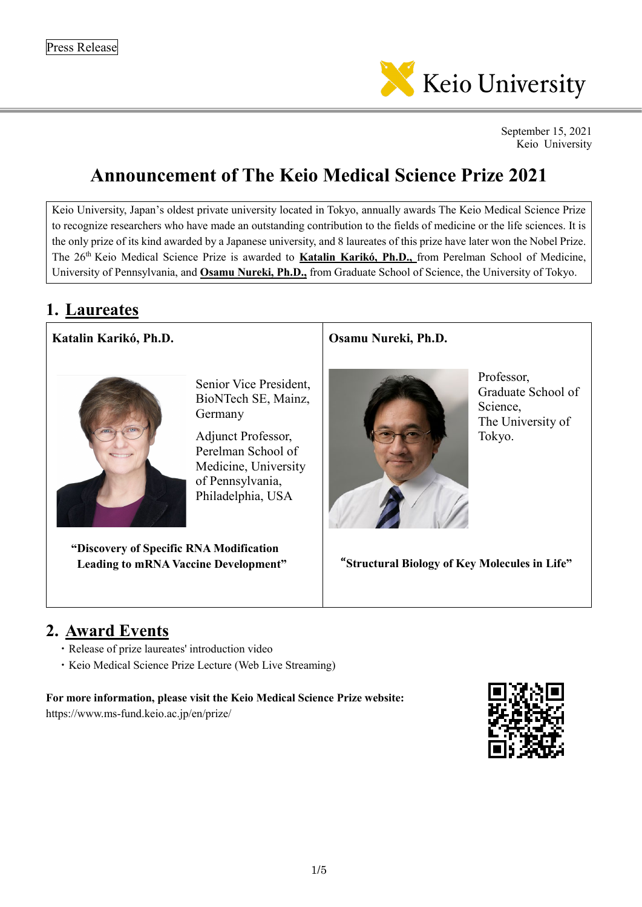

September 15, 2021 Keio University

## **Announcement of The Keio Medical Science Prize 2021**

Keio University, Japan's oldest private university located in Tokyo, annually awards The Keio Medical Science Prize to recognize researchers who have made an outstanding contribution to the fields of medicine or the life sciences. It is the only prize of its kind awarded by a Japanese university, and 8 laureates of this prize have later won the Nobel Prize. The 26th Keio Medical Science Prize is awarded to **Katalin Karikó, Ph.D.,** from Perelman School of Medicine, University of Pennsylvania, and **Osamu Nureki, Ph.D.,** from Graduate School of Science, the University of Tokyo.

## **1. Laureates**

**Katalin Karikó, Ph.D.**



Senior Vice President, BioNTech SE, Mainz, Germany

Adjunct Professor, Perelman School of Medicine, University of Pennsylvania, Philadelphia, USA

**"Discovery of Specific RNA Modification** 

## **Osamu Nureki, Ph.D.**



Professor, Graduate School of Science, The University of Tokyo.

**Leading to mRNA Vaccine Development"** "**Structural Biology of Key Molecules in Life"**

## **2. Award Events**

- ・Release of prize laureates' introduction video
- ・Keio Medical Science Prize Lecture (Web Live Streaming)

**For more information, please visit the Keio Medical Science Prize website:**

https://www.ms-fund.keio.ac.jp/en/prize/

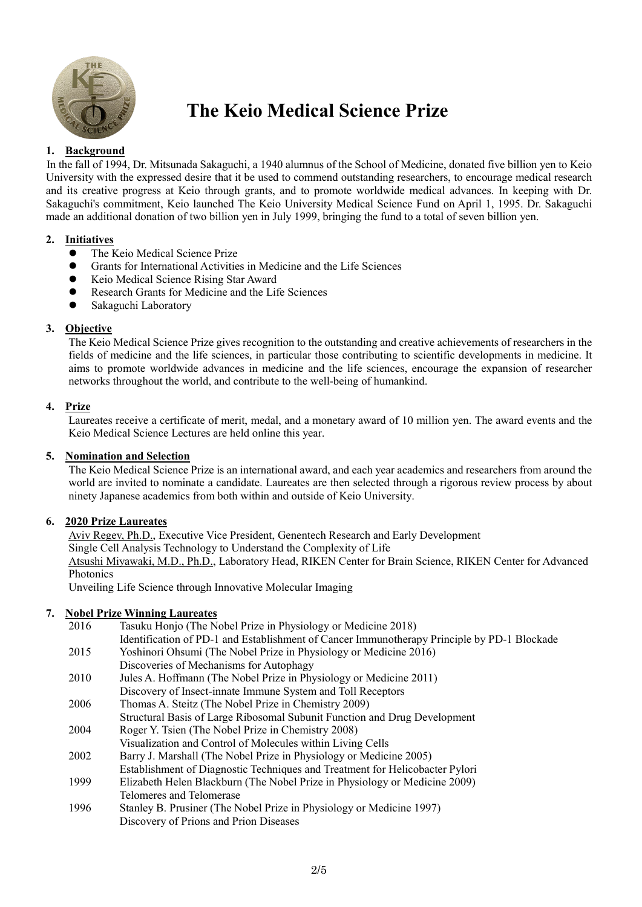

# **The Keio Medical Science Prize**

## **1. Background**

In the fall of 1994, Dr. Mitsunada Sakaguchi, a 1940 alumnus of the School of Medicine, donated five billion yen to Keio University with the expressed desire that it be used to commend outstanding researchers, to encourage medical research and its creative progress at Keio through grants, and to promote worldwide medical advances. In keeping with Dr. Sakaguchi's commitment, Keio launched The Keio University Medical Science Fund on April 1, 1995. Dr. Sakaguchi made an additional donation of two billion yen in July 1999, bringing the fund to a total of seven billion yen.

## **2. Initiatives**

- The Keio Medical Science Prize
- Grants for International Activities in Medicine and the Life Sciences
- Keio Medical Science Rising Star Award
- Research Grants for Medicine and the Life Sciences
- Sakaguchi Laboratory

## **3. Objective**

The Keio Medical Science Prize gives recognition to the outstanding and creative achievements of researchers in the fields of medicine and the life sciences, in particular those contributing to scientific developments in medicine. It aims to promote worldwide advances in medicine and the life sciences, encourage the expansion of researcher networks throughout the world, and contribute to the well-being of humankind.

## **4. Prize**

Laureates receive a certificate of merit, medal, and a monetary award of 10 million yen. The award events and the Keio Medical Science Lectures are held online this year.

## **5. Nomination and Selection**

The Keio Medical Science Prize is an international award, and each year academics and researchers from around the world are invited to nominate a candidate. Laureates are then selected through a rigorous review process by about ninety Japanese academics from both within and outside of Keio University.

## **6. 2020 Prize Laureates**

Aviv Regev, Ph.D., Executive Vice President, Genentech Research and Early Development Single Cell Analysis Technology to Understand the Complexity of Life Atsushi Miyawaki, M.D., Ph.D., Laboratory Head, RIKEN Center for Brain Science, RIKEN Center for Advanced Photonics

Unveiling Life Science through Innovative Molecular Imaging

## **7. Nobel Prize Winning Laureates**

| 2016 | Tasuku Honjo (The Nobel Prize in Physiology or Medicine 2018)                               |
|------|---------------------------------------------------------------------------------------------|
|      | Identification of PD-1 and Establishment of Cancer Immunotherapy Principle by PD-1 Blockade |
| 2015 | Yoshinori Ohsumi (The Nobel Prize in Physiology or Medicine 2016)                           |
|      | Discoveries of Mechanisms for Autophagy                                                     |
| 2010 | Jules A. Hoffmann (The Nobel Prize in Physiology or Medicine 2011)                          |
|      | Discovery of Insect-innate Immune System and Toll Receptors                                 |
| 2006 | Thomas A. Steitz (The Nobel Prize in Chemistry 2009)                                        |
|      | Structural Basis of Large Ribosomal Subunit Function and Drug Development                   |
| 2004 | Roger Y. Tsien (The Nobel Prize in Chemistry 2008)                                          |
|      | Visualization and Control of Molecules within Living Cells                                  |
| 2002 | Barry J. Marshall (The Nobel Prize in Physiology or Medicine 2005)                          |
|      | Establishment of Diagnostic Techniques and Treatment for Helicobacter Pylori                |
| 1999 | Elizabeth Helen Blackburn (The Nobel Prize in Physiology or Medicine 2009)                  |
|      | Telomeres and Telomerase                                                                    |
| 1996 | Stanley B. Prusiner (The Nobel Prize in Physiology or Medicine 1997)                        |
|      | Discovery of Prions and Prion Diseases                                                      |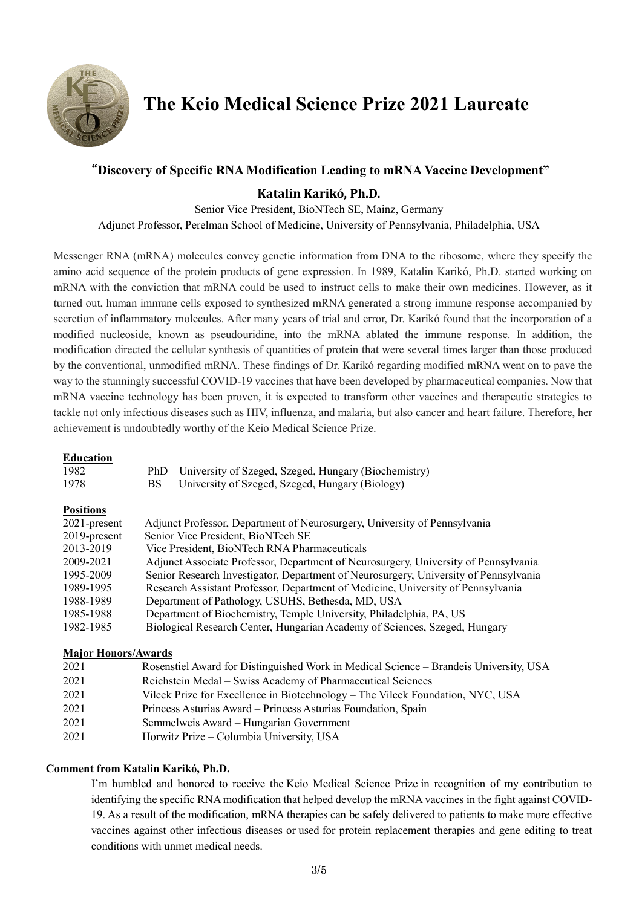

**The Keio Medical Science Prize 2021 Laureate**

## "**Discovery of Specific RNA Modification Leading to mRNA Vaccine Development"**

## **Katalin Karikó, Ph.D.**

Senior Vice President, BioNTech SE, Mainz, Germany Adjunct Professor, Perelman School of Medicine, University of Pennsylvania, Philadelphia, USA

Messenger RNA (mRNA) molecules convey genetic information from DNA to the ribosome, where they specify the amino acid sequence of the protein products of gene expression. In 1989, Katalin Karikó, Ph.D. started working on mRNA with the conviction that mRNA could be used to instruct cells to make their own medicines. However, as it turned out, human immune cells exposed to synthesized mRNA generated a strong immune response accompanied by secretion of inflammatory molecules. After many years of trial and error, Dr. Karikó found that the incorporation of a modified nucleoside, known as pseudouridine, into the mRNA ablated the immune response. In addition, the modification directed the cellular synthesis of quantities of protein that were several times larger than those produced by the conventional, unmodified mRNA. These findings of Dr. Karikó regarding modified mRNA went on to pave the way to the stunningly successful COVID-19 vaccines that have been developed by pharmaceutical companies. Now that mRNA vaccine technology has been proven, it is expected to transform other vaccines and therapeutic strategies to tackle not only infectious diseases such as HIV, influenza, and malaria, but also cancer and heart failure. Therefore, her achievement is undoubtedly worthy of the Keio Medical Science Prize.

#### **Education**

| 1982             | University of Szeged, Szeged, Hungary (Biochemistry)<br>PhD                          |
|------------------|--------------------------------------------------------------------------------------|
| 1978             | University of Szeged, Szeged, Hungary (Biology)<br><b>BS</b>                         |
| <b>Positions</b> |                                                                                      |
| $2021$ -present  | Adjunct Professor, Department of Neurosurgery, University of Pennsylvania            |
| 2019-present     | Senior Vice President, BioNTech SE                                                   |
| 2013-2019        | Vice President, BioNTech RNA Pharmaceuticals                                         |
| 2009-2021        | Adjunct Associate Professor, Department of Neurosurgery, University of Pennsylvania  |
| 1995-2009        | Senior Research Investigator, Department of Neurosurgery, University of Pennsylvania |
| 1989-1995        | Research Assistant Professor, Department of Medicine, University of Pennsylvania     |
| 1988-1989        | Department of Pathology, USUHS, Bethesda, MD, USA                                    |
| 1985-1988        | Department of Biochemistry, Temple University, Philadelphia, PA, US                  |
| 1982-1985        | Biological Research Center, Hungarian Academy of Sciences, Szeged, Hungary           |
|                  |                                                                                      |

### **Major Honors/Awards**

| 2021 | Rosenstiel Award for Distinguished Work in Medical Science – Brandeis University, USA |
|------|---------------------------------------------------------------------------------------|
| 2021 | Reichstein Medal - Swiss Academy of Pharmaceutical Sciences                           |
| 2021 | Vilcek Prize for Excellence in Biotechnology – The Vilcek Foundation, NYC, USA        |
| 2021 | Princess Asturias Award – Princess Asturias Foundation, Spain                         |
| 2021 | Semmelweis Award – Hungarian Government                                               |
| 2021 | Horwitz Prize – Columbia University, USA                                              |

### **Comment from Katalin Karikó, Ph.D.**

I'm humbled and honored to receive the Keio Medical Science Prize in recognition of my contribution to identifying the specific RNA modification that helped develop the mRNA vaccines in the fight against COVID-19. As a result of the modification, mRNA therapies can be safely delivered to patients to make more effective vaccines against other infectious diseases or used for protein replacement therapies and gene editing to treat conditions with unmet medical needs.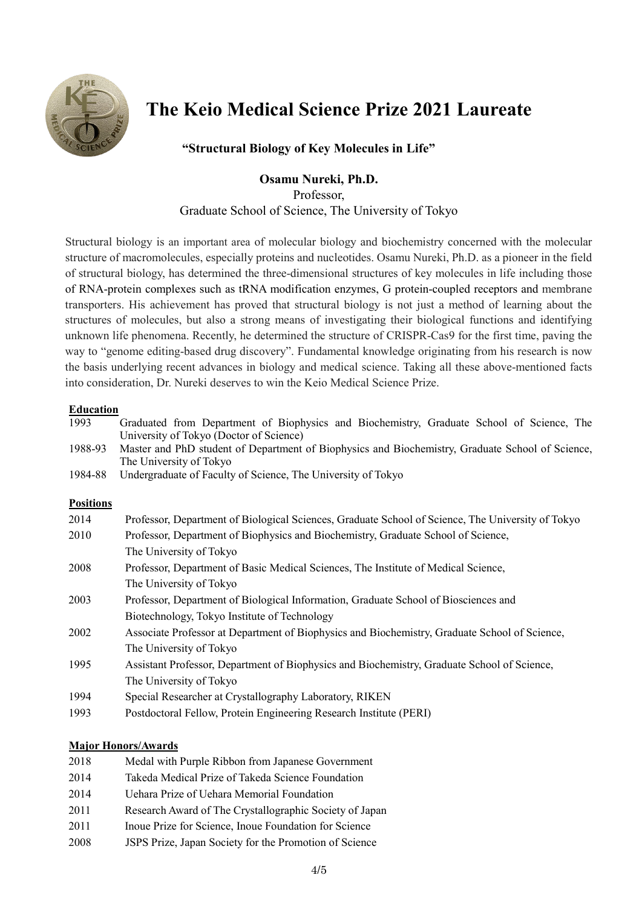

# **The Keio Medical Science Prize 2021 Laureate**

**"Structural Biology of Key Molecules in Life"**

## **Osamu Nureki, Ph.D.** Professor, Graduate School of Science, The University of Tokyo

Structural biology is an important area of molecular biology and biochemistry concerned with the molecular structure of macromolecules, especially proteins and nucleotides. Osamu Nureki, Ph.D. as a pioneer in the field of structural biology, has determined the three-dimensional structures of key molecules in life including those of RNA-protein complexes such as tRNA modification enzymes, G protein-coupled receptors and membrane transporters. His achievement has proved that structural biology is not just a method of learning about the structures of molecules, but also a strong means of investigating their biological functions and identifying unknown life phenomena. Recently, he determined the structure of CRISPR-Cas9 for the first time, paving the way to "genome editing-based drug discovery". Fundamental knowledge originating from his research is now the basis underlying recent advances in biology and medical science. Taking all these above-mentioned facts into consideration, Dr. Nureki deserves to win the Keio Medical Science Prize.

## **Education**

- 1993 Graduated from Department of Biophysics and Biochemistry, Graduate School of Science, The University of Tokyo (Doctor of Science)
- 1988-93 Master and PhD student of Department of Biophysics and Biochemistry, Graduate School of Science, The University of Tokyo
- 1984-88 Undergraduate of Faculty of Science, The University of Tokyo

### **Positions**

| 2014 | Professor, Department of Biological Sciences, Graduate School of Science, The University of Tokyo |
|------|---------------------------------------------------------------------------------------------------|
| 2010 | Professor, Department of Biophysics and Biochemistry, Graduate School of Science,                 |
|      | The University of Tokyo                                                                           |
| 2008 | Professor, Department of Basic Medical Sciences, The Institute of Medical Science,                |
|      | The University of Tokyo                                                                           |
| 2003 | Professor, Department of Biological Information, Graduate School of Biosciences and               |
|      | Biotechnology, Tokyo Institute of Technology                                                      |
| 2002 | Associate Professor at Department of Biophysics and Biochemistry, Graduate School of Science,     |
|      | The University of Tokyo                                                                           |
| 1995 | Assistant Professor, Department of Biophysics and Biochemistry, Graduate School of Science,       |
|      | The University of Tokyo                                                                           |
| 1994 | Special Researcher at Crystallography Laboratory, RIKEN                                           |
| 1993 | Postdoctoral Fellow, Protein Engineering Research Institute (PERI)                                |

### **Major Honors/Awards**

- 2018 Medal with Purple Ribbon from Japanese Government
- 2014 Takeda Medical Prize of Takeda Science Foundation
- 2014 Uehara Prize of Uehara Memorial Foundation
- 2011 Research Award of The Crystallographic Society of Japan
- 2011 Inoue Prize for Science, Inoue Foundation for Science
- 2008 JSPS Prize, Japan Society for the Promotion of Science